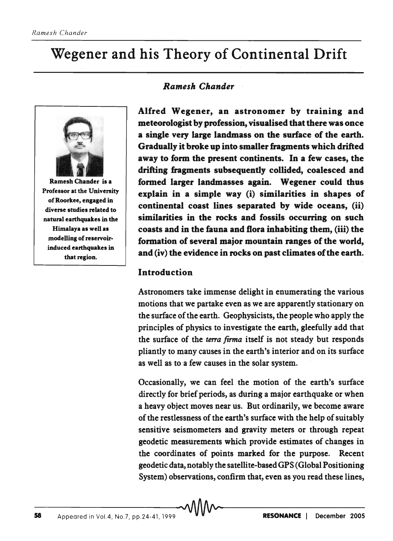# Wegener and his Theory of Continental Drift



Ramesh Chander is a Professor at the University ofRoorkee, engaged in diverse studies related to natural earthquakes in the Himalaya as well as modelling of reservoirinduced earthquakes in that region.

#### *Ramesh Chander*

Alfred Wegener, an astronomer by training and meteorologist by profession, visualised that there was once a single very large landmass on the surface of the earth. Gradually it broke up into smaller fragments which drifted away to form the present continents. In a few cases, the drifting fragments subsequently collided, coalesced and .formed larger landmasses again. Wegener could thus explain in a simple way (i) similarities in shapes of continental coast lines separated by wide oceans, (ii) similarities in the rocks and fossils occurring on such coasts and in the fauna and flora inhabiting them, (iii) the formation of several major mountain ranges of the world, and (iv) the evidence in rocks on past climates of the earth.

#### **Introduction**

Astronomers take immense delight in enumerating the various motions that we partake even as we are apparently stationary on the surface of the earth. Geophysicists, the people who apply the principles of physics to investigate the earth, gleefully add that the surface of the *terra firma* itself is not steady but responds pliantly to many causes in the earth's interior and on its surface as well as to a few causes in the solar system.

Occasionally, we can feel the motion of the earth's surface directly for brief periods, as during a major earthquake or when a heavy object moves near us. But ordinarily, we become aware of the restlessness of the earth's surface with the help of suitably sensitive seismometers and gravity meters or through repeat geodetic measurements which provide estimates of changes in the coordinates of points marked for the purpose. Recent geodetic data, notably the satellite-based GPS (Global Positioning System) observations, confirm that, even as you read these lines,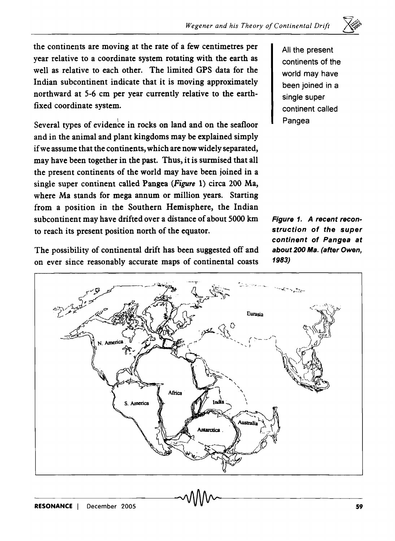

Several types of evidence in rocks on land and on the seafloor and in the animal and plant kingdoms may be explained simply if we assume that the continents, which are now widely separated, may have been together in the past. Thus, it is surmised that all the present continents of the world may have been joined in a single super continent called Pangea *(Figure* 1) circa 200 Ma, where Ma stands for mega annum or million years. Starting from a position in the Southern Hemisphere, the Indian subcontinent may have drifted over a distance of about 5000 km Figure 1. A recent reconto reach its present position north of the equator. Struction of the super

The possibility of continental drift has been suggested off and about 200 Ma. (after Owen, on ever since reasonably accurate maps of continental coasts 1983)

All the present continents of the world may have been joined in a single super continent called Pangea

 $\equiv$ 

continent of Pangea at

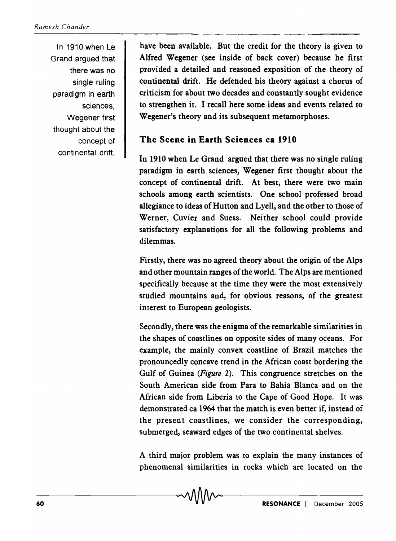In 1910 when Le Grand argued that there was no single ruling paradigm in earth sciences, Wegener first thought about the concept of continental drift.

have been available. But the credit for the theory is given to Alfred Wegener (see inside of back cover) because he first provided a detailed and reasoned exposition of the theory of continental drift. He defended his theory against a chorus of criticism for about two decades and constantly sought evidence to strengthen it. I recall here some ideas and events related to Wegener's theory and its subsequent metamorphoses.

## The Scene in Earth Sciences ca 1910

In 1910 when Le Grand argued that there was no single ruling paradigm in earth sciences, Wegener first thought about the concept of continental drift. At best, there were two main schools among earth scientists. One school professed broad allegiance to ideas of Hutton and Lyell, and the other to those of Werner, Cuvier and Suess. Neither school could provide satisfactory explanations for all the following problems and dilemmas.

Firstly, there was no agreed theory about the origin of the Alps and other mountain ranges of the world. The Alps are mentioned specifically because at the time they were the most extensively studied mountains and, for obvious reasons, of the greatest interest to European geologists.

Secondly, there was the enigma of the remarkable similarities in the shapes of coastlines on opposite sides of many oceans. For example, the mainly convex coastline of Brazil matches the pronouncedly concave trend in the African coast bordering the Gulf of Guinea *(Figure* 2). This congruence stretches on the South American side from Para to Bahia Blanca and on the African side from Liberia to the Cape of Good Hope. It was demonstrated ca 1964 that the match is even better if, instead of the present coastlines, we consider the corresponding, submerged, seaward edges of the two continental shelves.

A third major problem was to explain the many instances of phenomenal similarities in rocks which are located on the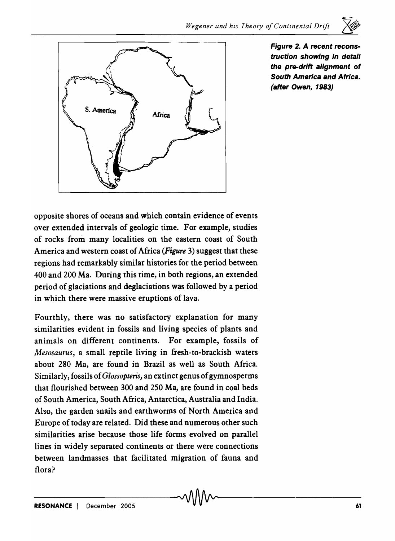

Figure 2. A recent reconstruction showing in detail the pre-drift alignment of South America and Africa. (after Owen, 1983)

opposite shores of oceans and which contain evidence of events over extended intervals of geologic time. For example, studies of rocks from many localities on the eastern coast of South America and western coast of Africa *(Figure* 3) suggest that these regions had remarkably similar histories for the period between 400 and 200 Ma. During this time, in both regions, an extended period of glaciations and deglaciations was followed by a period in which there were massive eruptions of lava.

Fourthly, there was no satisfactory explanation for many similarities evident in fossils and living species of plants and animals on different continents. For example, fossils of *Mesosaurus,* a small reptile living in fresh-to-brackish waters about 280 Ma, are found in Brazil as well as South Africa. Similarly, fossils of *Glossopteris,* an extinct genus of gymnosperms that flourished between 300 and 250 Ma, are found in coal beds of South America, South Africa, Antarctica, Australia and India. Also, the garden snails and earthworms of North America and Europe of today are related. Did these and numerous other such similarities arise because those life forms evolved on parallel lines in widely separated continents or there were connections between landmasses that facilitated migration of fauna and flora?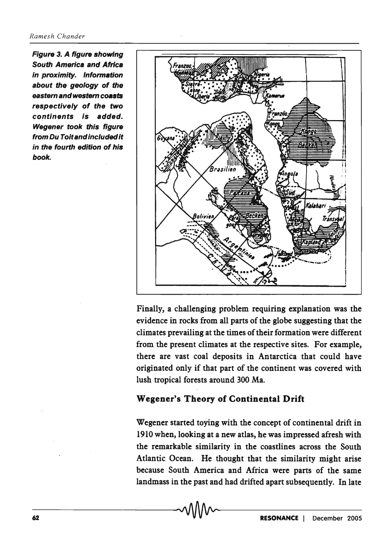Figure 3. A figure showing South America and Africa in proximity. Information about the geology of the eastern and western coasts respectively of the two continents is added. Wegener took this figure from Du Toit and included it in the fourth edition of his book.



Finally, a challenging problem requiring explanation was the evidence in rocks from all parts of the globe suggesting that the climates prevailing at the times of their formation were different from the present climates at the respective sites. For example, there are vast coal deposits in Antarctica that could have originated only if that part of the continent was covered with lush tropical forests around 300 Ma.

#### Wegener's Theory of Continental Drift

Wegener started toying with the concept of continental drift in 1910 when, looking at a new atlas, he was impressed afresh with the remarkable similarity in the coastlines across the South Atlantic Ocean. He thought that the similarity might arise because South America and Africa were parts of the same landmass in the past and had drifted apart subsequently. In late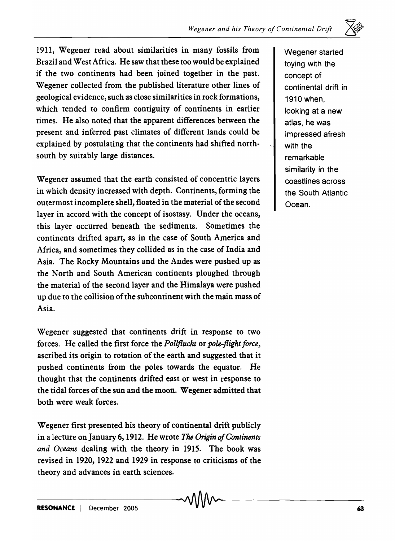

1911, Wegener read about similarities in many fossils from Brazil and West Africa. He saw that these too would be explained if the two continents had been joined together in the past. Wegener collected from the published literature other lines of geological evidence, such as close similarities in rock formations, which tended to confirm contiguity of continents in earlier times. He also noted that the apparent differences between the present and inferred past climates of different lands could be explained by postulating that the continents had shifted northsouth by suitably large distances.

Wegener assumed that the earth consisted of concentric layers in which density increased with depth. Continents, forming the outermost incomplete shell, floated in the material of the second layer in accord with the concept of isostasy. Under the oceans, this layer occurred beneath the sediments. Sometimes the continents drifted apart, as in the case of South America and Africa, and sometimes they collided as in the case of India and Asia. The Rocky Mountains and the Andes were pushed up as the North and South American continents ploughed through the material of the second layer and the Himalaya were pushed up due to the collision of the subcontinent with the main mass of Asia.

Wegener suggested that continents drift in response to two forces. He called the first force the *Pollflucht* or *pole-flight force,*  ascribed its origin to rotation of the earth and suggested that it pushed continents from the poles towards the equator. He thought that the continents drifted east or west in response to the tidal forces of the sun and the moon. Wegener admitted that both were weak forces.

Wegener first presented his theory of continental drift publicly in a lecture on January 6, 1912. He wrote The Origin of Continents *and Oceans* dealing with the theory in 1915. The book was revised in 1920, 1922 and 1929 in response to criticisms of the theory and advances in earth sciences.

Wegener started toying with the concept of continental drift in 1910 when, looking at a new atlas, he was impressed afresh with the remarkable similarity in the coastlines across the South Atlantic Ocean.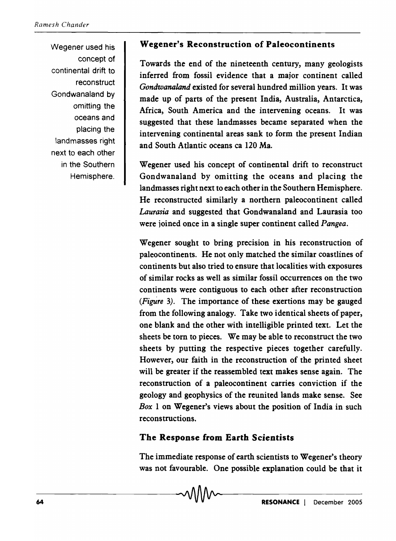Wegener used his concept of continental drift to reconstruct Gondwanaland by omitting the oceans and placing the landmasses right next to each other in the Southern Hemisphere.

#### Wegener's Reconstruction of Paleocontinents

Towards the end of the nineteenth century, many geologists inferred from fossil evidence that a major continent called *Gondwanaland* existed for several hundred million years. It was made up of parts of the present India, Australia, Antarctica, Africa, South America and the intervening oceans. It was suggested that these landmasses became separated when the intervening continental areas sank to form the present Indian and South Atlantic oceans ca 120 Ma.

Wegener used his concept of continental drift to reconstruct Gondwanaland by omitting the oceans and placing the landmasses right next to each other in the Southern Hemisphere. He reconstructed similarly a northern paleocontinent called *Laurasia* and suggested that Gondwanaland and Laurasia too were joined once in a single super continent called *Pangea.* 

Wegener sought to bring precision in his reconstruction of paleocontinents. He not only matched the similar coastlines of continents but also tried to ensure that localities with exposures of similar rocks as well as similar fossil occurrences on the two continents were contiguous to each other after reconstruction *(FigUre* 3). The importance of these exertions may be gauged from the following analogy. Take two identical sheets of paper, one blank and the other with intelligible printed text. Let the sheets be torn to pieces. We may be able to reconstruct the two sheets by putting the respective pieces together carefully. However, our faith in the reconstruction of the printed sheet will be greater if the reassembled text makes sense again. The reconstruction of a paleocontinent carries conviction if the geology and geophysics of the reunited lands make sense. See *Box* 1 on Wegener's views about the position of India in such reconstructions.

#### The Response from Earth Scientists

The immediate response of earth scientists to Wegener's theory was not favourable. One possible explanation could be that it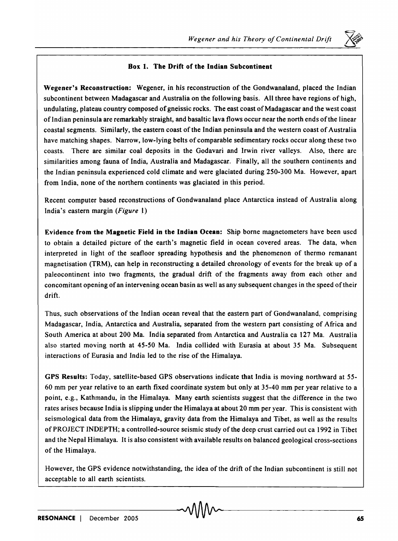

#### Box 1. The Drift of the Indian Subcontinent

Wegener's Reconstruction: Wegener, in his reconstruction of the Gondwanaland, placed the Indian subcontinent between Madagascar and Australia on the following basis. All three have regions of high, undulating, plateau country composed of gneissic rocks. The east coast of Madagascar and the west coast of Indian peninsula are remarkably straight, and basaltic lava flows occur near the north ends of the linear coastal segments. Similarly, the eastern coast of the Indian peninsula and the western coast of Australia have matching shapes. Narrow, low-lying belts of comparable sedimentary rocks occur along these two coasts. There are similar coal deposits in the Godavari and Irwin river valleys. Also, there are similarities among fauna of India, Australia and Madagascar. Finally, all the southern continents and the Indian peninsula experienced cold climate and were glaciated during 250-300 Ma. However, apart from India, none of the northern continents was glaciated in this period.

Recent computer based reconstructions of Gondwanaland place Antarctica instead of Australia along India's eastern margin *(Figure* .)

Evidence from the Magnetic Field in the Indian Ocean: Ship borne magnetometers have been used to obtain a detailed picture of the earth's magnetic field in ocean covered areas. The data, when interpreted in light of the seafloor spreading hypothesis and the phenomenon of thermo remanant magnetisation (TRM), can help in reconstructing a detailed chronology of events for the break up of a paleocontinent into two fragments, the gradual drift of the fragments away from each other and concomitant opening of an intervening ocean basin as well as any subsequent changes in the speed of their drift.

Thus, such observations of the Indian ocean reveal that the eastern part of Gondwanaland, comprising Madagascar, India, Antarctica and Australia, separated from the western part consisting of Africa and South America at about 200 Ma. India separated from Antarctica and Australia ca 127 Ma. Australia also started moving north at 45-50 Ma. India collided with Eurasia at about 35 Ma. Subsequent interactions of Eurasia and India led to the rise of the Himalaya.

GPS Results: Today, satellite-based GPS observations indicate that India is moving northward at 55- 60 mm per year relative to an earth fixed coordinate system but only at 35-40 mm per year relative to a point, e.g., Kathmandu, in the Himalaya. Many earth scientists suggest that the difference in the two rates arises because India is slipping under the Himalaya at about 20 mm per year. This is consistent with seismological data from the Himalaya, gravity data from the Himalaya and Tibet, as well as the results of PROJECT INDEPTH; a controlled-source seismic study of the deep crust carried out ca 1992 in Tibet and the Nepal Himalaya. It is also consistent with available results on balanced geological cross-sections of the Himalaya.

However, the GPS evidence notwithstanding, the idea of the drift of the Indian subcontinent is still not acceptable to all earth scientists.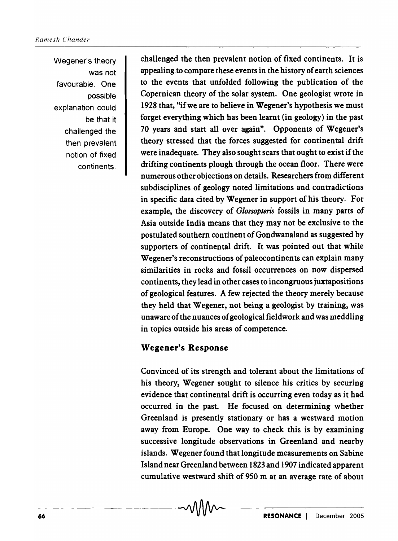Wegener's theory was not favourable. One possible explanation could be that it challenged the then prevalent notion of fixed continents.

challenged the then prevalent notion of fixed continents. It is appealing.to compare these events in the history of earth sciences to the events that unfolded following the publication of the Copernican theory of the solar system. One geologist wrote in 1928 that, "if we are to believe in Wegener's hypothesis we must forget everything which has been learnt (in geology) in the past 70 years and start all over again". Opponents of Wegener's theory stressed that the forces suggested for continental drift were inadequate. They also sought scars that ought to exist if the drifting continents plough through the ocean floor. There were numerous other objections on details. Researchers from different subdisciplines of geology noted limitations and contradictions in specific data cited by Wegener in support of his theory. For example, the discovery of *Glossopteris* fossils in many parts of Asia outside India means that they may not be exclusive to the postulated southern continent of Gondwanaland as suggested by supporters of continental drift. It was pointed out that while Wegener's reconstructions of paleocontinents can explain many similarities in rocks and fossil occurrences on now dispersed continents, they lead in other cases to incongruous juxtapositions of geological features. A few rejected the theory merely because they held that Wegener, not being a geologist by training) was unaware of the nuances of geological fieldwork and was meddling in topics outside his areas of competence.

#### Wegener's Response

Convinced of its strength and tolerant about the limitations of his theory, Wegener sought to silence his critics by securing evidence that continental drift is occurring even today as it had occurred in the past. He focused on determining whether Greenland is presently stationary or has a westward motion away from Europe. One way to check this is by examining successive longitude observations in Greenland and nearby islands. Wegener found that longitude measurements on Sabine Island near Greenland between 1823 and 1907 indicated apparent cumulative westward shift of 950 m at an average rate of about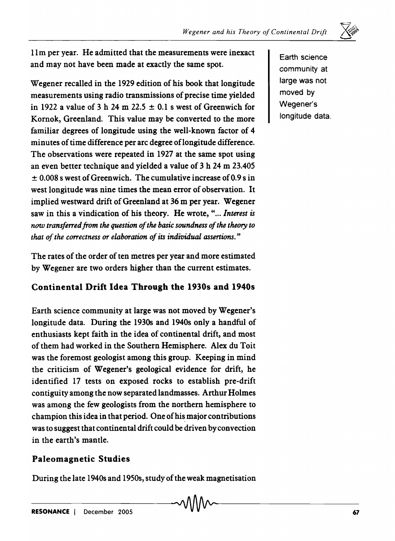$\leftrightarrow$  .

11m per year. He admitted that the measurements were inexact and may not have been made at exactly the same spot.

Wegener recalled in the 1929 edition of his book that longitude measurements using radio transmissions of precise time yielded in 1922 a value of 3 h 24 m 22.5  $\pm$  0.1 s west of Greenwich for Kornok, Greenland. This value may be converted to the more familiar degrees of longitude using the well-known factor of 4 minutes of time difference per arc degree oflongitude difference. The observations were repeated in 1927 at the same spot using an even better technique and yielded a value of 3 h 24 m 23.405  $\pm$  0.008 s west of Greenwich. The cumulative increase of 0.9 s in west longitude was nine times the mean error of observation. It implied westward drift of Greenland at 36 m per year. Wegener saw in this a vindication of his theory. He wrote, "... *Interest is now transferred from the question of the basic soundness of the theory to that of the correctness or elaboration of its individual assertions."* 

The rates of the order of ten metres per year and more estimated by Wegener are two orders higher than the current estimates.

## Continental Drift Idea Through the 1930s and 1940s

Earth science community at large was not moved by Wegener's longitude data. During the 1930s and 1940s only a handful of enthusiasts kept faith in the idea of continental drift, and most of them had worked in the Southern Hemisphere. Alex du Toit was the foremost geologist among this group. Keeping in mind the criticism of Wegener's geological evidence for drift, he identified 17 tests on exposed rocks to establish pre-drift contiguity among the now separated landmasses. Arthur Holmes was among the few geologists from the northern hemisphere to champion this idea in that period. One of his major contributions was to suggest that continental drift could be driven by convection in the earth's mantle.

## Paleomagnetic Studies

During the late 1940s and 1950s, study of the weak magnetisation

Earth science community at large was not moved by Wegener's longitude data.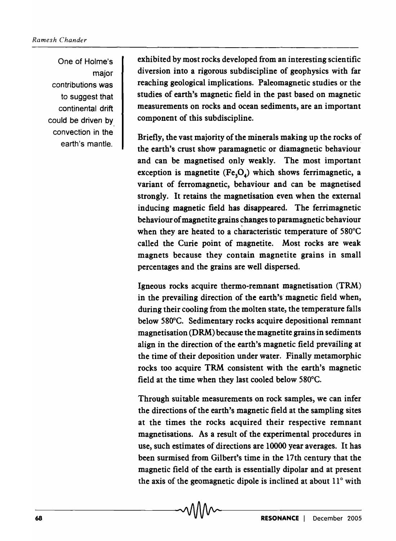One of Holme's major contributions was to suggest that continental drift could be driven by convection in the earth's mantle.

exhibited by most rocks developed from an interesting scientific diversion into a rigorous subdiscipline of geophysics with far reaching geological implications. Paleomagnetic studies or the studies of earth's magnetic field in the past based on magnetic measurements on rocks and ocean sediments, are an important component of this subdiscipline.

Briefly, the vast majority of the minerals making up the rocks of the earth's crust show paramagnetic or diamagnetic behaviour and can be magnetised only weakly. The most important exception is magnetite  $(Fe<sub>3</sub>O<sub>4</sub>)$  which shows ferrimagnetic, a variant of ferromagnetic, behaviour and can be magnetised strongly. It retains the magnetisation even when the external inducing magnetic field has disappeared. The ferrimagnetic behaviour of magnetite grains changes to paramagnetic behaviour when they are heated to a characteristic temperature of 580°C called the Curie point of magnetite. Most rocks are weak magnets because they contain magnetite grains in small percentages and the grains are well dispersed.

Igneous rocks acquire thermo-remnant magnetisation (TRM) in the prevailing direction of the earth's magnetic field when, during their cooling from the molten state, the temperature falls below 580°C. Sedimentary rocks acquire depositional remnant magnetisation (DRM) because the magnetite grains in sediments align in the direction of the earth's magnetic field prevailing at the time of their deposition under water. Finally metamorphic rocks too acquire TRM consistent with the earth's magnetic field at the time when they last cooled below 580°C.

Through suitable measurements on rock samples, we can infer the directions of the earth's magnetic field at the sampling sites at the times the rocks acquired their respective remnant magnetisations. As a result of the experimental procedures in use, such estimates of directions are 10000 year averages. It has been surmised from Gilbert's time in the 17th century that the magnetic field of the earth is essentially dipolar and at present the axis of the geomagnetic dipole is inclined at about 11° with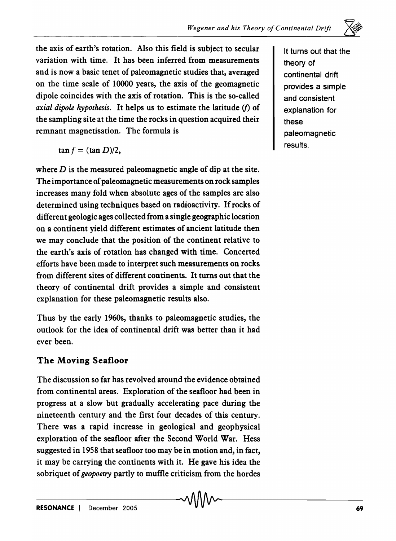

the axis of earth's rotation. Also this field is subject to secular variation with time. It has been inferred from measurements and is now a basic tenet of paleomagnetic studies that, averaged on the time scale of 10000 years, the axis of the geomagnetic dipole coincides with the axis of rotation. This is the so-called *axial dipole hypothesis.* It helps us to estimate the latitude (f) of the sampling site at the time the rocks in question acquired their remnant magnetisation. The formula is

$$
\tan f = (\tan D)/2,
$$

where  $D$  is the measured paleomagnetic angle of dip at the site. The importance of paleomagnetic measurements on rock samples increases many fold when absolute ages of the samples are also determined using techniques based on radioactivity. If rocks of different geologic ages collected from a single geographic location on a continent yield different estimates of ancient latitude then we may conclude that the position of the continent relative to the earth's axis of rotation has changed with time. Concerted efforts have been made to interpret such measurements on rocks from different sites of different continents. It turns out that the theory of continental drift provides a simple and consistent explanation for these paleomagnetic results also.

Thus by the early 1960s, thanks to paleomagnetic studies, the outlook for the idea of continental drift was better than it had ever been.

### The Moving Seafloor

The discussion so far has revolved around the evidence obtained from continental areas. Exploration of the seafloor had been in progress at a slow but gradually accelerating pace during the nineteenth century and the first four decades of this century. There was a rapid increase in geological and geophysical exploration of the seafloor after the Second World War. Hess suggested in 1958 that seafloor too may be in motion and, in fact, it may be carrying the continents with it. He gave his idea the sobriquet of *geopoetry* partly to muffle criticism from the hordes It turns out that the theory of continental drift provides a simple and consistent explanation for these paleomagnetic results.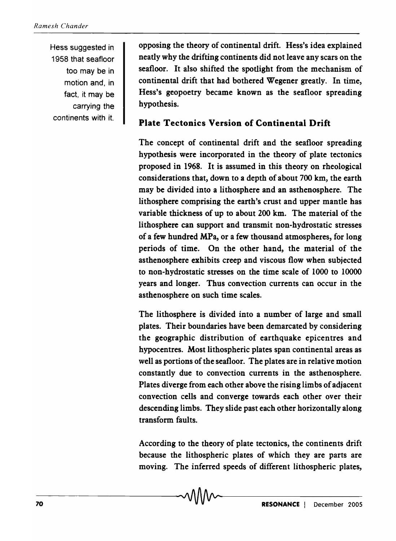Hess suggested in 1958 that seafloor too may be in motion and, in fact, it may be carrying the continents with it.

opposing the theory of continental drift. Hess's idea explained neatly why the drifting continents did not leave any scars on the seafloor. It also shifted the spotlight from the mechanism of continental drift that had bothered Wegener greatly. In time, Hess's geopoetry became known as the seafloor spreading hypothesis.

## Plate Tectonics Version of Continental Drift

The concept of continental drift and the seafloor spreading hypothesis were incorporated in the theory of plate tectonics proposed in 1968. It is assumed in this theory on rheological considerations that, down to a depth of about 700 km, the earth may be divided into a lithosphere and an asthenosphere. The lithosphere comprising the earth's crust and upper mantle has variable thickness of up to about 200 km. The material of the lithosphere can support and transmit non-hydrostatic stresses of a few hundred MPa, or a few thousand atmospheres, for long periods of time. On the other hand, the material of the asthenosphere exhibits creep and viscous flow when subjected to non-hydrostatic stresses on the time scale of 1000 to 10000 years and longer. Thus convection currents can occur in the asthenosphere on such time scales.

The lithosphere is divided into a number of large and small plates. Their boundaries have been demarcated by considering the geographic distribution of earthquake epicentres and hypocentres. Most lithospheric plates span continental areas as well as portions of the seafloor. The plates are in relative motion constantly due to convection currents in the asthenosphere. Plates diverge from each other above the rising limbs of adjacent convection cells and converge towards each other over their descending limbs. They slide past each other horizontally along transform faults.

According to the theory of plate tectonics, the continents drift because the lithospheric plates of which they are parts are moving. The inferred speeds of different lithospheric plates,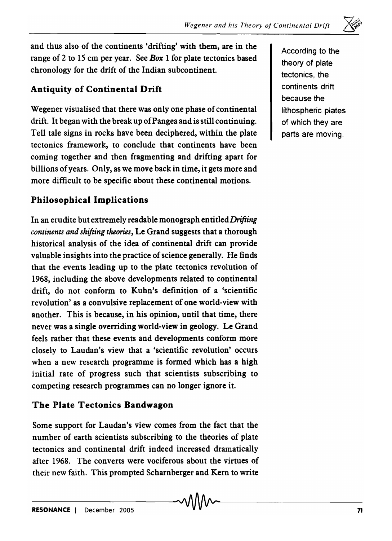

and thus also of the continents 'drifting' with them, are in the range of 2 to 15 cm per year. See *Box* I for plate tectonics based chronology for the drift of the Indian subcontinent.

## Antiquity of Continental Drift

Wegener visualised that there was only one phase of continental drift. It began with the break up of Pangea and is still continuing. Tell tale signs in rocks have been deciphered, within the plate tectonics framework, to conclude that continents have been coming together and then fragmenting and drifting apart for billions of years. Only, as we move back in time, it gets more and more difficult to be specific about these continental motions.

## Philosophical Implications

In an erudite but extremely readable monograph entitled *Drifting continents and shifting theories,* Le Grand suggests that a thorough historical analysis of the idea of continental drift can provide valuable insights into the practice of science generally. He finds that the events leading up to the plate tectonics revolution of 1968, including the above developments related to continental drift, do not conform to Kuhn's definition of a 'scientific revolution' as a convulsive replacement of one world-view with another. This is because, in his opinion, until that time, there never was a single overriding world-view in geology. Le Grand feels rather that these events and developments conform more closely to Laudan's view that a 'scientific revolution' occurs when a new research programme is formed which has a high initial rate of progress such that scientists subscribing to competing research programmes can no longer ignore it.

#### The Plate Tectonics Bandwagon

Some support for Laudan's view comes from the fact that the number of earth scientists subscribing to the theories of plate tectonics and continental drift indeed increased dramatically after 1968. The converts were vociferous about the virtues of their new faith. This prompted Scharnberger and Kern to write According to the theory of plate tectonics, the continents drift because the lithospheric plates of which they are parts are mOVing.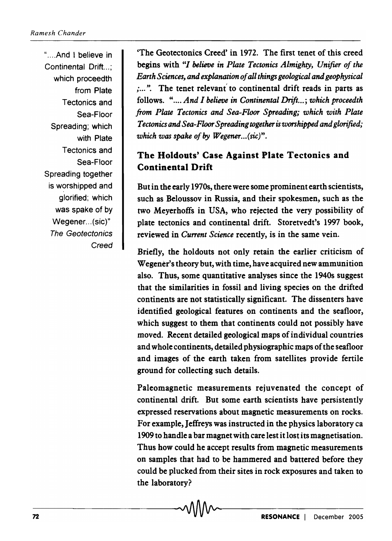" .... And I believe in Continental Drift...: which proceedth from Plate Tectonics and Sea-Floor Spreading; which with Plate Tectonics and Sea-Floor Spreading together is worshipped and glorified; which was spake of by Wegener... (sic)" The Geotectonics **Creed** 

'The Geotectonics Creed' in 1972. The first tenet of this creed begins with *"I believe in Plate Tectonics Almighty, Unifier of the Earth Sciences, and explanation of all things geological and geophysical*  ; ... ". The tenet relevant'to continental drift reads in parts as follows. ".... *And I believe in Continental Drift...; which proceedth from Plate Tectonics and Sea-Floor Spreading; which with Plate Tectonics and Sea-Floor Spreading together is worshipped and glorified;*  which was spake of by *Wegener...*(sic)".

# The Holdouts' Case Against Plate Tectonics and Continental Drift

But in the early 1970s, there were some prominent earth scientists, such as Beloussov in Russia, and their spokesmen, such as the two Meyerhoffs in USA, who rejected the very possibility of plate tectonics and continental drift. Storetvedt's 1997 book, reviewed in *Current Science* recently, is in the same vein.

Briefly, the holdouts not only retain the earlier criticism of Wegener's theory but, with time, have acquired new ammunition also. Thus, some quantitative analyses since the 1940s suggest that the similarities in fossil and living species on the drifted continents are not statistically significant. The dissenters have identified geological features on continents and the seafloor, which suggest to them that continents could not possibly have moved. Recent detailed geological maps of individual countries and whole continents, detailed physiographic maps of the seafloor and images of the earth taken from satellites provide fertile ground for collecting such details.

Paleomagnetic measurements rejuvenated the concept of continental drift. But some earth scientists have persistently expressed reservations about magnetic measurements on rocks. For example, Jeffreys was instructed in the physics laboratory ca 1909 to handle a bar magnet with care lest it lost its magnetisation. Thus how could he accept results from magnetic measurements on samples that had to be hammered and battered before they could be plucked from their sites in rock exposures and taken to the laboratory?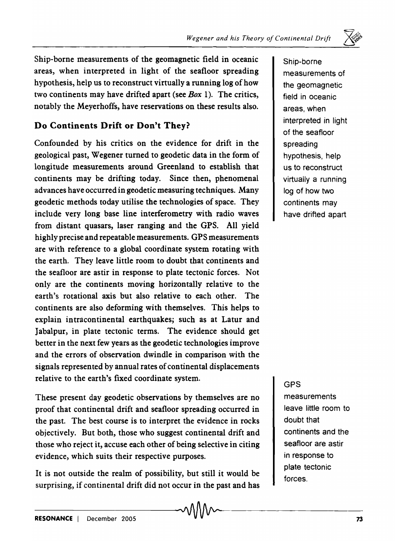Ship-borne measurements of the geomagnetic field in oceanic areas, when interpreted in light of the seafloor spreading hypothesis, help us to reconstruct virtually a running log of how two continents may have drifted apart (see *Box* 1). The critics, notably the Meyerhoffs, have reservations on these results also.

# Do Continents Drift or Don't They?

Confounded by his critics on the evidence for drift in the geological past, Wegener turned to geodetic data in the form of longitude measurements around Greenland to establish that continents may be drifting today. Since then, phenomenal advances have occurred in geodetic measuring techniques. Many geodetic methods today utilise the technologies of space. They include very long base line interferometry with radio waves from distant quasars, laser ranging and the GPS. All yield highly precise and repeatable measurements. GPS measurements are with reference to a global coordinate system rotating with the earth. They leave little room to doubt that continents and the seafloor are astir in response to plate tectonic forces. Not only are the continents moving horizontally relative to the earth's rotational axis but also relative to each other. The continents are also deforming with themselves. This helps to explain intracontinental earthquakes; such as at Latur and Jabalpur, in plate tectonic terms. The evidence should get better in the next few years as the geodetic technologies improve and the errors of observation dwindle in comparison with the signals represented by annual rates of continental displacements relative to the earth's fixed coordinate system.

These present day geodetic observations by themselves are no proof that continental drift and seafloor spreading occurred in the past. The best course is to interpret the evidence in rocks objectively. But both, those who suggest continental drift and those who reject it, accuse each other of being selective in citing evidence, which suits their respective purposes.

It is not outside the realm of possibility, but still it would be surprising, if continental drift did not occur in the past and has

Ship-borne measurements of the geomagnetic field in oceanic areas, when interpreted in light of the seafloor spreading hypothesis, help us to reconstruct virtually a running log of how two continents may have drifted apart

### GPS

measurements leave little room to doubt that continents and the seafloor are astir in response to plate tectonic forces.

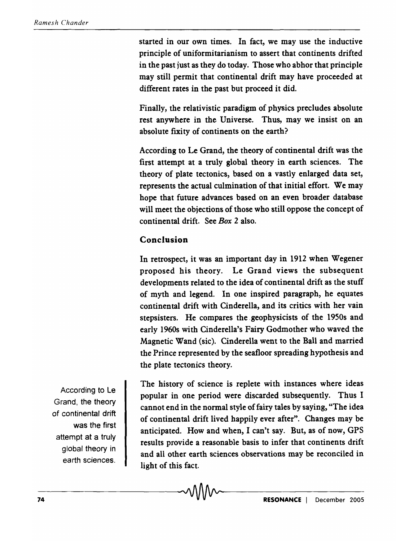started in our own times. In fact, we may use the inductive principle of uniformitarianism to assert that continents drifted in the past just as they do today. Those who abhor that principle may still permit that continental drift may have proceeded at different rates in the past but proceed it did.

Finally, the relativistic paradigm of physics precludes absolute rest anywhere in the Universe. Thus, may we insist on an absolute fixity of continents on the earth?

According to Le Grand, the theory of continental drift was the first attempt at a truly global theory in earth sciences. The theory of plate tectonics, based on a vastly enlarged data set, represents the actual culmination of that initial effort. We may hope that future advances based on an even broader database will meet the objections of those who still oppose the concept of continental drift. See *Box* 2 also.

## Conclusion

In retrospect, it was an important day in 1912 when Wegener proposed his theory. Le Grand views the subsequent developments related to the idea of continental drift as the stuff of myth and legend. In one inspired paragraph, he equates continental drift with Cinderella, and its critics with her vain stepsisters. He compares the, geophysicists of the 1950s and early 1960s with Cinderella's Fairy Godmother who waved the Magnetic Wand (sic). Cinderella went to the Ball and married the Prince represented by the seafloor spreading hypothesis and the plate tectonics theory.

According to Le Grand, the theory of continental drift was the first attempt at a truly global theory in earth sciences.

The history of science is replete with instances where ideas popular in one period were discarded subsequently. Thus I cannot end in the normal style of fairy tales by saying, "The idea of continental drift lived happily ever after". Changes may be anticipated. How and when, I can't say. But, as of now, GPS results provide a reasonable basis to infer that continents drift and all other earth sciences observations may be reconciled in light of this fact.